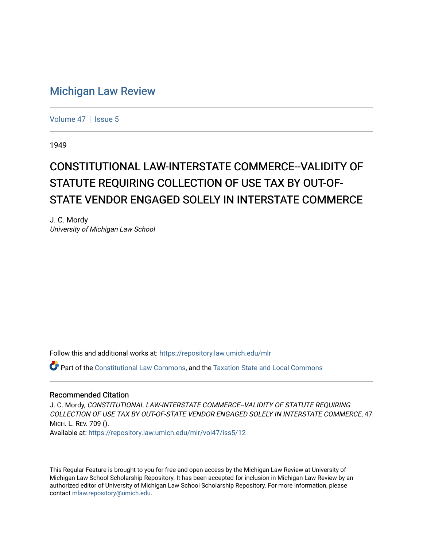## [Michigan Law Review](https://repository.law.umich.edu/mlr)

[Volume 47](https://repository.law.umich.edu/mlr/vol47) | [Issue 5](https://repository.law.umich.edu/mlr/vol47/iss5)

1949

## CONSTITUTIONAL LAW-INTERSTATE COMMERCE--VALIDITY OF STATUTE REQUIRING COLLECTION OF USE TAX BY OUT-OF-STATE VENDOR ENGAGED SOLELY IN INTERSTATE COMMERCE

J. C. Mordy University of Michigan Law School

Follow this and additional works at: [https://repository.law.umich.edu/mlr](https://repository.law.umich.edu/mlr?utm_source=repository.law.umich.edu%2Fmlr%2Fvol47%2Fiss5%2F12&utm_medium=PDF&utm_campaign=PDFCoverPages) 

Part of the [Constitutional Law Commons,](http://network.bepress.com/hgg/discipline/589?utm_source=repository.law.umich.edu%2Fmlr%2Fvol47%2Fiss5%2F12&utm_medium=PDF&utm_campaign=PDFCoverPages) and the [Taxation-State and Local Commons](http://network.bepress.com/hgg/discipline/882?utm_source=repository.law.umich.edu%2Fmlr%2Fvol47%2Fiss5%2F12&utm_medium=PDF&utm_campaign=PDFCoverPages)

## Recommended Citation

J. C. Mordy, CONSTITUTIONAL LAW-INTERSTATE COMMERCE--VALIDITY OF STATUTE REQUIRING COLLECTION OF USE TAX BY OUT-OF-STATE VENDOR ENGAGED SOLELY IN INTERSTATE COMMERCE, 47 MICH. L. REV. 709 (). Available at: [https://repository.law.umich.edu/mlr/vol47/iss5/12](https://repository.law.umich.edu/mlr/vol47/iss5/12?utm_source=repository.law.umich.edu%2Fmlr%2Fvol47%2Fiss5%2F12&utm_medium=PDF&utm_campaign=PDFCoverPages) 

This Regular Feature is brought to you for free and open access by the Michigan Law Review at University of Michigan Law School Scholarship Repository. It has been accepted for inclusion in Michigan Law Review by an authorized editor of University of Michigan Law School Scholarship Repository. For more information, please contact [mlaw.repository@umich.edu](mailto:mlaw.repository@umich.edu).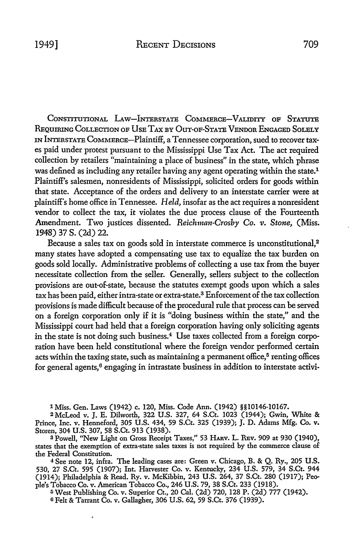CONSTITUTIONAL LAW-INTERSTATE COMMERCE-VALIDITY OF STATUTE REQUIRING COLLECTION OF USE TAX BY OUT-OF-STATE VENDOR ENGAGED SOLELY IN INTERSTATE CoMMERCE-Plaintiff, a Tennessee corporation, sued to recover taxes paid under protest pursuant to the Mississippi Use Tax Act. The act required collection by retailers "maintaining a place of business" in the state, which phrase was defined as including any retailer having any agent operating within the state.<sup>1</sup> Plaintiff's salesmen, nonresidents of Mississippi, solicited orders for goods within that state. Acceptance of the orders and delivery to an interstate carrier were at plaintiff's home office in Tennessee. *Held,* insofar as the act requires a nonresident vendor to collect the tax, it violates the due process clause of the Fourteenth Amendment. Two justices dissented. *Reichman-Crosby Co. v. Stone,* (Miss. 1948) 37 s. (2d) 22.

Because a sales tax on goods sold in interstate commerce is unconstitutional,<sup>2</sup> many states have adopted a compensating use tax to equalize the tax burden on goods sold locally. Administrative problems of collecting a use tax from the buyer necessitate collection from the seller. Generally, sellers subject to the collection provisions are out-of-state, because the statutes exempt goods upon which a sales tax has been paid, either intra-state or extra-state.3 Enforcement of the tax collection provisions is made difficult because of the procedural rule that process can be served on a foreign corporation only if it is "doing business within the state," and the Mississippi court had held that a foreign corporation having only soliciting agents in the state is not doing such business.<sup>4</sup> Use taxes collected from a foreign corporation have been held constitutional where the foreign vendor performed certain acts within the taxing state, such as maintaining a permanent office, $5$  renting offices for general agents,<sup>6</sup> engaging in intrastate business in addition to interstate activi-

1 Miss. Gen. Laws (1942) c. 120, Miss. Code Ann. (1942) §§10146-10167.

<sup>2</sup>McLeod v. J. E. Dilworth, 322 U.S. 327, 64 S.Ct. 1023 (1944); Gwin, White & Prince, Inc. v. Henneford, 305 U.S. 434, 59 S.Ct. 325 (1939); J. D. Adams Mfg. Co. v. Storen, 304 U.S. 307, 58 S.Ct. 913 (1938).

<sup>3</sup> Powell, "New Light on Gross Receipt Taxes," 53 HARV. L. REV. 909 at 930 (1940), states that the exemption of extra-state sales taxes is not required by the commerce clause of the Federal Constitution.

<sup>4</sup>See note 12, infra. The leading cases are: Green v. Chicago, B. & Q. Ry., 205 U.S. 530, 27 S.Ct. 595 (1907); Int. Harvester Co. v. Kentucky, 234 U.S. 579, 34 S.Ct. 944 (1914); Philadelphia & Read. Ry. v. McKibbin, 243 U.S. 264, 37 S.Ct. 280 (1917); People's Tobacco Co. v. American Tobacco Co., 246 U.S. 79, 38 S.Ct. 233 (1918).

<sup>5</sup> West Publishing Co. v. Superior Ct., 20 Cal. (2d) 720, 128 P. (2d) 777 (1942).

o Felt & Tarrant Co. v. Gallagher, 306 U.S. 62, 59 S.Ct. 376 (1939).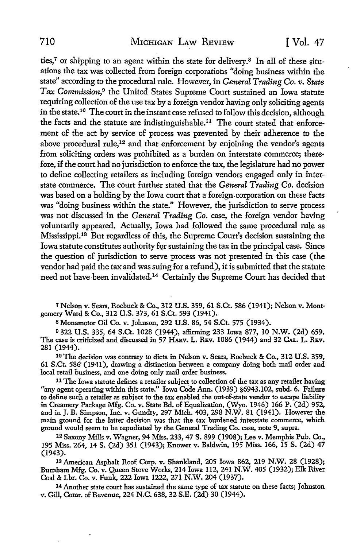ties,<sup>7</sup> or shipping to an agent within the state for delivery.<sup>8</sup> In all of these situations the tax was collected from foreign corporations "doing business within the state" according to the procedural rule. However, in *General Trading* Co. *v. State Tax Commission*,<sup>9</sup> the United States Supreme Court sustained an Iowa statute requiring collection of the use tax by a foreign vendor having only soliciting agents in the state.10 The court in the instant case refused to follow this decision, although the facts and the statute are indistinguishable.<sup>11</sup> The court stated that enforcement of the act by service of process was prevented by their adherence to the above procedural rule,<sup>12</sup> and that enforcement by enjoining the vendor's agents from soliciting orders was prohibited as a burden on interstate commerce; therefore, if the court had no jurisdiction to enforce the tax, the legislature had no power to define collecting retailers as including foreign vendors engaged only in interstate commerce. The court further stated that the *General Trading* Co. decision was based on a holding by the Iowa court that a foreign.corporation on these facts was "doing business within the state." However, the jurisdiction to serve process was not discussed in the *General Trading* Co. case, the foreign vendor having voluntarily appeared. Actually, Iowa had followed the same procedural rule as Mississippi.13 But regardless of this, the Supreme Court's decision sustaining the Iowa statute constitutes authority for sustaining the tax in the principal case. Since the question of jurisdiction to serve process was not presented in this case (the vendor had paid the tax and was suing for a refund), it is submitted that the statute need not have-been invalidated.14 Certainly the Supreme Court has decided that

7 Nelson v. Sears, Roebuck & Co., 312 U.S. 359, 61 S.Ct. 586 (1941); Nelson v. Montgomery Ward & Co., 312 U.S. 373, 61 S.Ct. 593 (1941).

s Monamotor Oil Co. v. Johnson, 292 U.S. 86, 54 S.Ct. 575 (1934).

o 322 U.S. 335, 64 S.Ct. 1028 (1944), affirming 233 Iowa 877, 10 N.W. (2d) 659. The case is criticized and discussed in 57 HARv. L. REv. 1086 (1944) and 32 CAL. L. REv. 281 (1944).

10 The decision was contrary to dicta in Nelson v. Sears, Roebuck & Co., 312 U.S. 359, 61 S.Ct. 586" (1941), drawing a distinction between a company doing both mail order and local retail business, and one doing only mail order business.

<sup>11</sup>The Iowa statute defines a retailer subject to collection of the tax as any retailer having "any agent operating within this state." Iowa Code Ann. (1939) §6943.102, subd. 6. Failure to define such a retailer as subject to the tax enabled the out-of-state vendor to escape liability in Creamery Package Mfg. Co. v. State Bd. of Equalization, (Wyo. 1946) 166 P. (2d) 952, and in J.B. Simpson, Inc. v. Gundry, 297 Mich. 403, 298 N.W. 81 (1941). However the main ground for the latter decision was that the tax burdened interstate commerce, which ground would seem to be repudiated by the General Trading Co. case, note 9, supra.

12 Saxony Mills v. Wagner, 94 Miss. 233, 47 S. 899 (1908); Lee v. Memphis Pub. Co., 195 Miss. 264, 14 S. (2d) 351 (1943); Knower v. Baldwin, 195 Miss. 166, 15 S. (2d) 47 (1943).

13 American Asphalt Roof Corp. v. Shankland, 205 Iowa 862, 219 N.W. 28 (1928); Burnham Mfg. Co. v. Queen Stove Works, 214 Iowa 112,241 N.W. 405 (1932); Elk River Coal & Lbr. Co. v. Funk, 222 Iowa 1222, 271 N.W. 204 (1937).

14 Another state court has sustained the same type of tax statute on these facts; Johnston v. Gill, Comr. of Revenue, 224 N.C. 638, 32 S.E. (2d) 30 (1944).